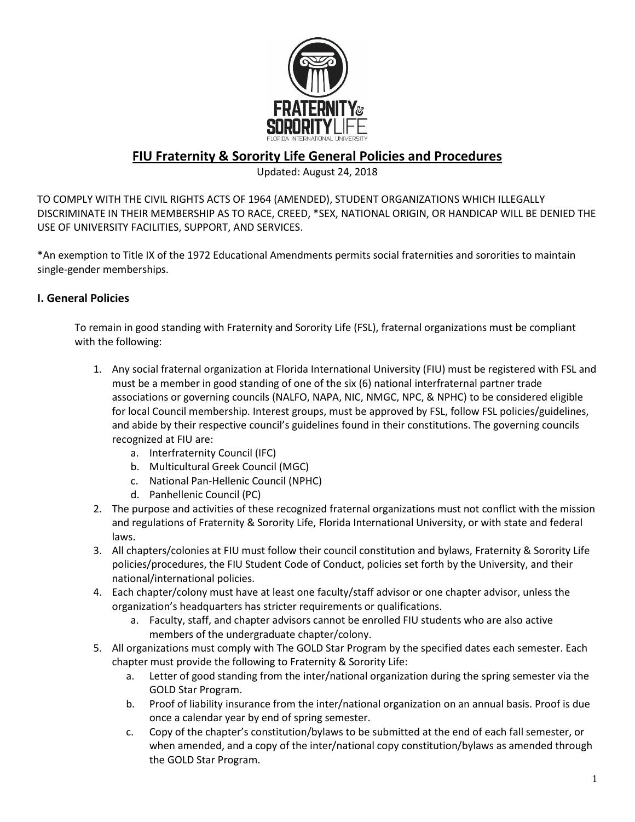

# **FIU Fraternity & Sorority Life General Policies and Procedures**

#### Updated: August 24, 2018

TO COMPLY WITH THE CIVIL RIGHTS ACTS OF 1964 (AMENDED), STUDENT ORGANIZATIONS WHICH ILLEGALLY DISCRIMINATE IN THEIR MEMBERSHIP AS TO RACE, CREED, \*SEX, NATIONAL ORIGIN, OR HANDICAP WILL BE DENIED THE USE OF UNIVERSITY FACILITIES, SUPPORT, AND SERVICES.

\*An exemption to Title IX of the 1972 Educational Amendments permits social fraternities and sororities to maintain single-gender memberships.

#### **I. General Policies**

To remain in good standing with Fraternity and Sorority Life (FSL), fraternal organizations must be compliant with the following:

- 1. Any social fraternal organization at Florida International University (FIU) must be registered with FSL and must be a member in good standing of one of the six (6) national interfraternal partner trade associations or governing councils (NALFO, NAPA, NIC, NMGC, NPC, & NPHC) to be considered eligible for local Council membership. Interest groups, must be approved by FSL, follow FSL policies/guidelines, and abide by their respective council's guidelines found in their constitutions. The governing councils recognized at FIU are:
	- a. Interfraternity Council (IFC)
	- b. Multicultural Greek Council (MGC)
	- c. National Pan-Hellenic Council (NPHC)
	- d. Panhellenic Council (PC)
- 2. The purpose and activities of these recognized fraternal organizations must not conflict with the mission and regulations of Fraternity & Sorority Life, Florida International University, or with state and federal laws.
- 3. All chapters/colonies at FIU must follow their council constitution and bylaws, Fraternity & Sorority Life policies/procedures, the FIU Student Code of Conduct, policies set forth by the University, and their national/international policies.
- 4. Each chapter/colony must have at least one faculty/staff advisor or one chapter advisor, unless the organization's headquarters has stricter requirements or qualifications.
	- a. Faculty, staff, and chapter advisors cannot be enrolled FIU students who are also active members of the undergraduate chapter/colony.
- 5. All organizations must comply with The GOLD Star Program by the specified dates each semester. Each chapter must provide the following to Fraternity & Sorority Life:
	- a. Letter of good standing from the inter/national organization during the spring semester via the GOLD Star Program.
	- b. Proof of liability insurance from the inter/national organization on an annual basis. Proof is due once a calendar year by end of spring semester.
	- c. Copy of the chapter's constitution/bylaws to be submitted at the end of each fall semester, or when amended, and a copy of the inter/national copy constitution/bylaws as amended through the GOLD Star Program.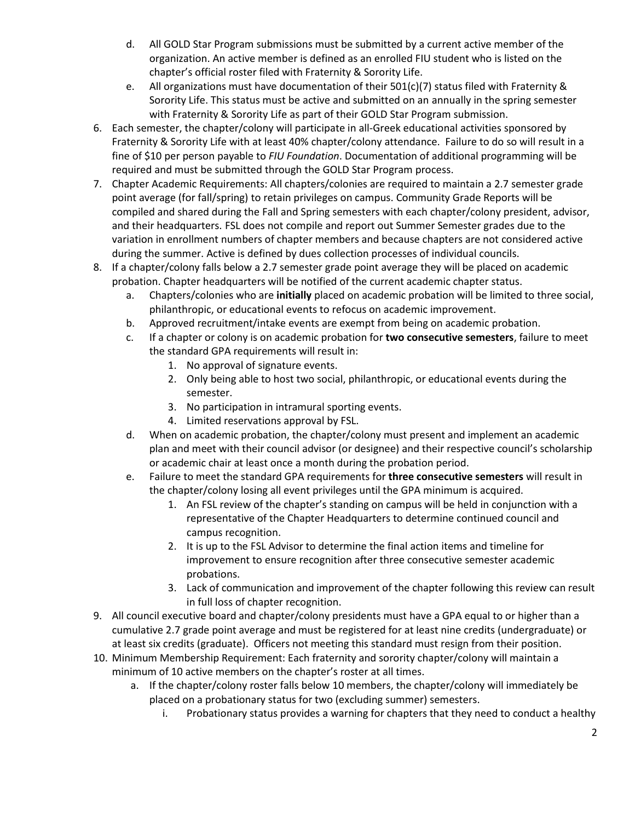- d. All GOLD Star Program submissions must be submitted by a current active member of the organization. An active member is defined as an enrolled FIU student who is listed on the chapter's official roster filed with Fraternity & Sorority Life.
- e. All organizations must have documentation of their 501(c)(7) status filed with Fraternity & Sorority Life. This status must be active and submitted on an annually in the spring semester with Fraternity & Sorority Life as part of their GOLD Star Program submission.
- 6. Each semester, the chapter/colony will participate in all-Greek educational activities sponsored by Fraternity & Sorority Life with at least 40% chapter/colony attendance. Failure to do so will result in a fine of \$10 per person payable to *FIU Foundation*. Documentation of additional programming will be required and must be submitted through the GOLD Star Program process.
- 7. Chapter Academic Requirements: All chapters/colonies are required to maintain a 2.7 semester grade point average (for fall/spring) to retain privileges on campus. Community Grade Reports will be compiled and shared during the Fall and Spring semesters with each chapter/colony president, advisor, and their headquarters. FSL does not compile and report out Summer Semester grades due to the variation in enrollment numbers of chapter members and because chapters are not considered active during the summer. Active is defined by dues collection processes of individual councils.
- 8. If a chapter/colony falls below a 2.7 semester grade point average they will be placed on academic probation. Chapter headquarters will be notified of the current academic chapter status.
	- a. Chapters/colonies who are **initially** placed on academic probation will be limited to three social, philanthropic, or educational events to refocus on academic improvement.
	- b. Approved recruitment/intake events are exempt from being on academic probation.
	- c. If a chapter or colony is on academic probation for **two consecutive semesters**, failure to meet the standard GPA requirements will result in:
		- 1. No approval of signature events.
		- 2. Only being able to host two social, philanthropic, or educational events during the semester.
		- 3. No participation in intramural sporting events.
		- 4. Limited reservations approval by FSL.
	- d. When on academic probation, the chapter/colony must present and implement an academic plan and meet with their council advisor (or designee) and their respective council's scholarship or academic chair at least once a month during the probation period.
	- e. Failure to meet the standard GPA requirements for **three consecutive semesters** will result in the chapter/colony losing all event privileges until the GPA minimum is acquired.
		- 1. An FSL review of the chapter's standing on campus will be held in conjunction with a representative of the Chapter Headquarters to determine continued council and campus recognition.
		- 2. It is up to the FSL Advisor to determine the final action items and timeline for improvement to ensure recognition after three consecutive semester academic probations.
		- 3. Lack of communication and improvement of the chapter following this review can result in full loss of chapter recognition.
- 9. All council executive board and chapter/colony presidents must have a GPA equal to or higher than a cumulative 2.7 grade point average and must be registered for at least nine credits (undergraduate) or at least six credits (graduate). Officers not meeting this standard must resign from their position.
- 10. Minimum Membership Requirement: Each fraternity and sorority chapter/colony will maintain a minimum of 10 active members on the chapter's roster at all times.
	- a. If the chapter/colony roster falls below 10 members, the chapter/colony will immediately be placed on a probationary status for two (excluding summer) semesters.
		- i. Probationary status provides a warning for chapters that they need to conduct a healthy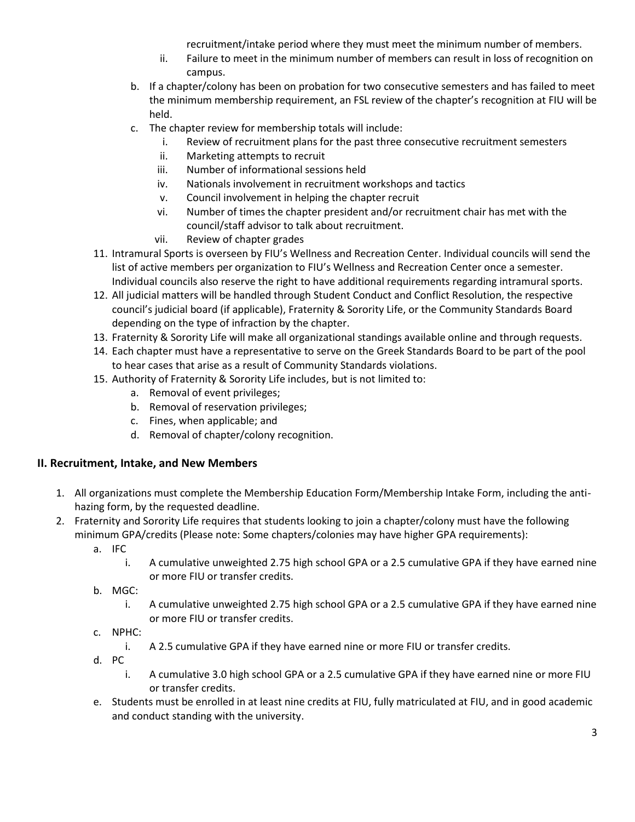recruitment/intake period where they must meet the minimum number of members.

- ii. Failure to meet in the minimum number of members can result in loss of recognition on campus.
- b. If a chapter/colony has been on probation for two consecutive semesters and has failed to meet the minimum membership requirement, an FSL review of the chapter's recognition at FIU will be held.
- c. The chapter review for membership totals will include:
	- i. Review of recruitment plans for the past three consecutive recruitment semesters
	- ii. Marketing attempts to recruit
	- iii. Number of informational sessions held
	- iv. Nationals involvement in recruitment workshops and tactics
	- v. Council involvement in helping the chapter recruit
	- vi. Number of times the chapter president and/or recruitment chair has met with the council/staff advisor to talk about recruitment.
	- vii. Review of chapter grades
- 11. Intramural Sports is overseen by FIU's Wellness and Recreation Center. Individual councils will send the list of active members per organization to FIU's Wellness and Recreation Center once a semester. Individual councils also reserve the right to have additional requirements regarding intramural sports.
- 12. All judicial matters will be handled through Student Conduct and Conflict Resolution, the respective council's judicial board (if applicable), Fraternity & Sorority Life, or the Community Standards Board depending on the type of infraction by the chapter.
- 13. Fraternity & Sorority Life will make all organizational standings available online and through requests.
- 14. Each chapter must have a representative to serve on the Greek Standards Board to be part of the pool to hear cases that arise as a result of Community Standards violations.
- 15. Authority of Fraternity & Sorority Life includes, but is not limited to:
	- a. Removal of event privileges;
	- b. Removal of reservation privileges;
	- c. Fines, when applicable; and
	- d. Removal of chapter/colony recognition.

## **II. Recruitment, Intake, and New Members**

- 1. All organizations must complete the Membership Education Form/Membership Intake Form, including the antihazing form, by the requested deadline.
- 2. Fraternity and Sorority Life requires that students looking to join a chapter/colony must have the following minimum GPA/credits (Please note: Some chapters/colonies may have higher GPA requirements):
	- a. IFC
		- i. A cumulative unweighted 2.75 high school GPA or a 2.5 cumulative GPA if they have earned nine or more FIU or transfer credits.
	- b. MGC:
		- i. A cumulative unweighted 2.75 high school GPA or a 2.5 cumulative GPA if they have earned nine or more FIU or transfer credits.
	- c. NPHC:
		- i. A 2.5 cumulative GPA if they have earned nine or more FIU or transfer credits.
	- d. PC
		- i. A cumulative 3.0 high school GPA or a 2.5 cumulative GPA if they have earned nine or more FIU or transfer credits.
	- e. Students must be enrolled in at least nine credits at FIU, fully matriculated at FIU, and in good academic and conduct standing with the university.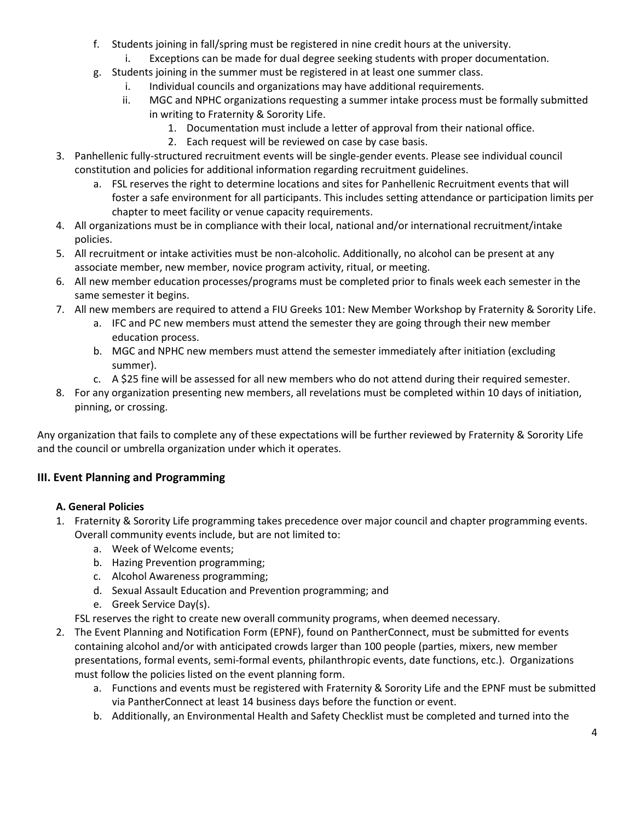- f. Students joining in fall/spring must be registered in nine credit hours at the university.
	- i. Exceptions can be made for dual degree seeking students with proper documentation.
- g. Students joining in the summer must be registered in at least one summer class.
	- i. Individual councils and organizations may have additional requirements.
	- ii. MGC and NPHC organizations requesting a summer intake process must be formally submitted in writing to Fraternity & Sorority Life.
		- 1. Documentation must include a letter of approval from their national office.
		- 2. Each request will be reviewed on case by case basis.
- 3. Panhellenic fully-structured recruitment events will be single-gender events. Please see individual council constitution and policies for additional information regarding recruitment guidelines.
	- a. FSL reserves the right to determine locations and sites for Panhellenic Recruitment events that will foster a safe environment for all participants. This includes setting attendance or participation limits per chapter to meet facility or venue capacity requirements.
- 4. All organizations must be in compliance with their local, national and/or international recruitment/intake policies.
- 5. All recruitment or intake activities must be non-alcoholic. Additionally, no alcohol can be present at any associate member, new member, novice program activity, ritual, or meeting.
- 6. All new member education processes/programs must be completed prior to finals week each semester in the same semester it begins.
- 7. All new members are required to attend a FIU Greeks 101: New Member Workshop by Fraternity & Sorority Life.
	- a. IFC and PC new members must attend the semester they are going through their new member education process.
	- b. MGC and NPHC new members must attend the semester immediately after initiation (excluding summer).
	- c. A \$25 fine will be assessed for all new members who do not attend during their required semester.
- 8. For any organization presenting new members, all revelations must be completed within 10 days of initiation, pinning, or crossing.

Any organization that fails to complete any of these expectations will be further reviewed by Fraternity & Sorority Life and the council or umbrella organization under which it operates.

### **III. Event Planning and Programming**

### **A. General Policies**

- 1. Fraternity & Sorority Life programming takes precedence over major council and chapter programming events. Overall community events include, but are not limited to:
	- a. Week of Welcome events;
	- b. Hazing Prevention programming;
	- c. Alcohol Awareness programming;
	- d. Sexual Assault Education and Prevention programming; and
	- e. Greek Service Day(s).
	- FSL reserves the right to create new overall community programs, when deemed necessary.
- 2. The Event Planning and Notification Form (EPNF), found on PantherConnect, must be submitted for events containing alcohol and/or with anticipated crowds larger than 100 people (parties, mixers, new member presentations, formal events, semi-formal events, philanthropic events, date functions, etc.). Organizations must follow the policies listed on the event planning form.
	- a. Functions and events must be registered with Fraternity & Sorority Life and the EPNF must be submitted via PantherConnect at least 14 business days before the function or event.
	- b. Additionally, an Environmental Health and Safety Checklist must be completed and turned into the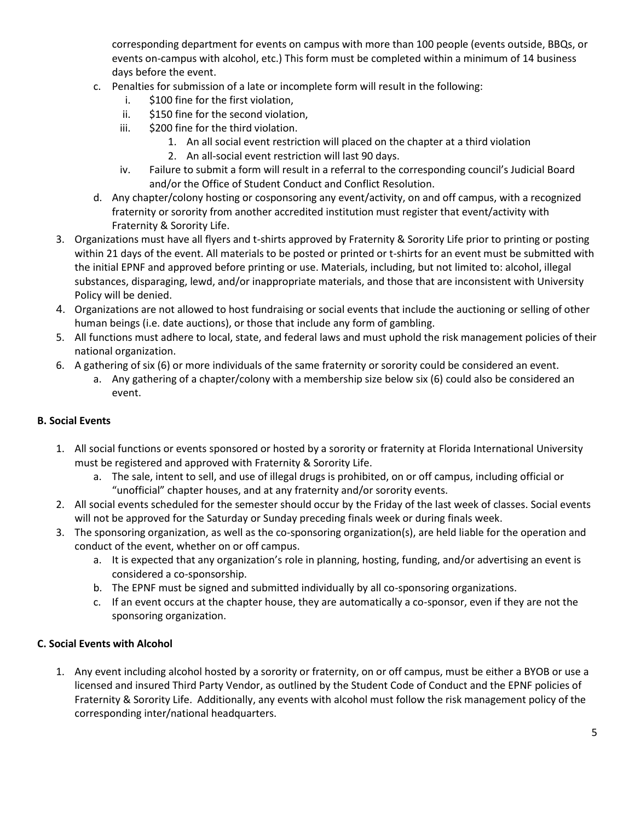corresponding department for events on campus with more than 100 people (events outside, BBQs, or events on-campus with alcohol, etc.) This form must be completed within a minimum of 14 business days before the event.

- c. Penalties for submission of a late or incomplete form will result in the following:
	- i. \$100 fine for the first violation,
	- ii. \$150 fine for the second violation,
	- iii. \$200 fine for the third violation.
		- 1. An all social event restriction will placed on the chapter at a third violation
		- 2. An all-social event restriction will last 90 days.
	- iv. Failure to submit a form will result in a referral to the corresponding council's Judicial Board and/or the Office of Student Conduct and Conflict Resolution.
- d. Any chapter/colony hosting or cosponsoring any event/activity, on and off campus, with a recognized fraternity or sorority from another accredited institution must register that event/activity with Fraternity & Sorority Life.
- 3. Organizations must have all flyers and t-shirts approved by Fraternity & Sorority Life prior to printing or posting within 21 days of the event. All materials to be posted or printed or t-shirts for an event must be submitted with the initial EPNF and approved before printing or use. Materials, including, but not limited to: alcohol, illegal substances, disparaging, lewd, and/or inappropriate materials, and those that are inconsistent with University Policy will be denied.
- 4. Organizations are not allowed to host fundraising or social events that include the auctioning or selling of other human beings (i.e. date auctions), or those that include any form of gambling.
- 5. All functions must adhere to local, state, and federal laws and must uphold the risk management policies of their national organization.
- 6. A gathering of six (6) or more individuals of the same fraternity or sorority could be considered an event.
	- a. Any gathering of a chapter/colony with a membership size below six (6) could also be considered an event.

### **B. Social Events**

- 1. All social functions or events sponsored or hosted by a sorority or fraternity at Florida International University must be registered and approved with Fraternity & Sorority Life.
	- a. The sale, intent to sell, and use of illegal drugs is prohibited, on or off campus, including official or "unofficial" chapter houses, and at any fraternity and/or sorority events.
- 2. All social events scheduled for the semester should occur by the Friday of the last week of classes. Social events will not be approved for the Saturday or Sunday preceding finals week or during finals week.
- 3. The sponsoring organization, as well as the co-sponsoring organization(s), are held liable for the operation and conduct of the event, whether on or off campus.
	- a. It is expected that any organization's role in planning, hosting, funding, and/or advertising an event is considered a co-sponsorship.
	- b. The EPNF must be signed and submitted individually by all co-sponsoring organizations.
	- c. If an event occurs at the chapter house, they are automatically a co-sponsor, even if they are not the sponsoring organization.

#### **C. Social Events with Alcohol**

1. Any event including alcohol hosted by a sorority or fraternity, on or off campus, must be either a BYOB or use a licensed and insured Third Party Vendor, as outlined by the Student Code of Conduct and the EPNF policies of Fraternity & Sorority Life. Additionally, any events with alcohol must follow the risk management policy of the corresponding inter/national headquarters.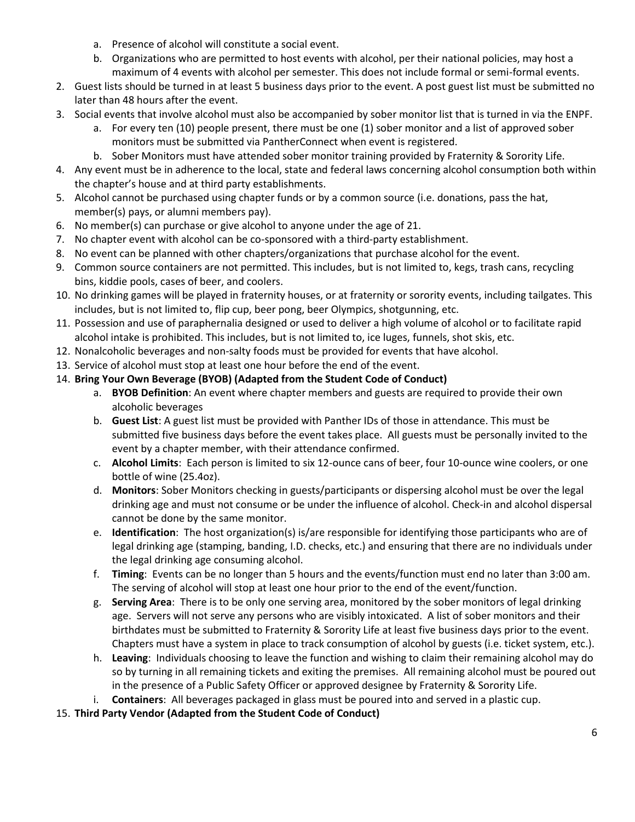- a. Presence of alcohol will constitute a social event.
- b. Organizations who are permitted to host events with alcohol, per their national policies, may host a maximum of 4 events with alcohol per semester. This does not include formal or semi-formal events.
- 2. Guest lists should be turned in at least 5 business days prior to the event. A post guest list must be submitted no later than 48 hours after the event.
- 3. Social events that involve alcohol must also be accompanied by sober monitor list that is turned in via the ENPF.
	- a. For every ten (10) people present, there must be one (1) sober monitor and a list of approved sober monitors must be submitted via PantherConnect when event is registered.
	- b. Sober Monitors must have attended sober monitor training provided by Fraternity & Sorority Life.
- 4. Any event must be in adherence to the local, state and federal laws concerning alcohol consumption both within the chapter's house and at third party establishments.
- 5. Alcohol cannot be purchased using chapter funds or by a common source (i.e. donations, pass the hat, member(s) pays, or alumni members pay).
- 6. No member(s) can purchase or give alcohol to anyone under the age of 21.
- 7. No chapter event with alcohol can be co-sponsored with a third-party establishment.
- 8. No event can be planned with other chapters/organizations that purchase alcohol for the event.
- 9. Common source containers are not permitted. This includes, but is not limited to, kegs, trash cans, recycling bins, kiddie pools, cases of beer, and coolers.
- 10. No drinking games will be played in fraternity houses, or at fraternity or sorority events, including tailgates. This includes, but is not limited to, flip cup, beer pong, beer Olympics, shotgunning, etc.
- 11. Possession and use of paraphernalia designed or used to deliver a high volume of alcohol or to facilitate rapid alcohol intake is prohibited. This includes, but is not limited to, ice luges, funnels, shot skis, etc.
- 12. Nonalcoholic beverages and non-salty foods must be provided for events that have alcohol.
- 13. Service of alcohol must stop at least one hour before the end of the event.
- 14. **Bring Your Own Beverage (BYOB) (Adapted from the Student Code of Conduct)**
	- a. **BYOB Definition**: An event where chapter members and guests are required to provide their own alcoholic beverages
	- b. **Guest List**: A guest list must be provided with Panther IDs of those in attendance. This must be submitted five business days before the event takes place. All guests must be personally invited to the event by a chapter member, with their attendance confirmed.
	- c. **Alcohol Limits**: Each person is limited to six 12-ounce cans of beer, four 10-ounce wine coolers, or one bottle of wine (25.4oz).
	- d. **Monitors**: Sober Monitors checking in guests/participants or dispersing alcohol must be over the legal drinking age and must not consume or be under the influence of alcohol. Check-in and alcohol dispersal cannot be done by the same monitor.
	- e. **Identification**: The host organization(s) is/are responsible for identifying those participants who are of legal drinking age (stamping, banding, I.D. checks, etc.) and ensuring that there are no individuals under the legal drinking age consuming alcohol.
	- f. **Timing**: Events can be no longer than 5 hours and the events/function must end no later than 3:00 am. The serving of alcohol will stop at least one hour prior to the end of the event/function.
	- g. **Serving Area**: There is to be only one serving area, monitored by the sober monitors of legal drinking age. Servers will not serve any persons who are visibly intoxicated. A list of sober monitors and their birthdates must be submitted to Fraternity & Sorority Life at least five business days prior to the event. Chapters must have a system in place to track consumption of alcohol by guests (i.e. ticket system, etc.).
	- h. **Leaving**: Individuals choosing to leave the function and wishing to claim their remaining alcohol may do so by turning in all remaining tickets and exiting the premises. All remaining alcohol must be poured out in the presence of a Public Safety Officer or approved designee by Fraternity & Sorority Life.
	- i. **Containers**: All beverages packaged in glass must be poured into and served in a plastic cup.
- 15. **Third Party Vendor (Adapted from the Student Code of Conduct)**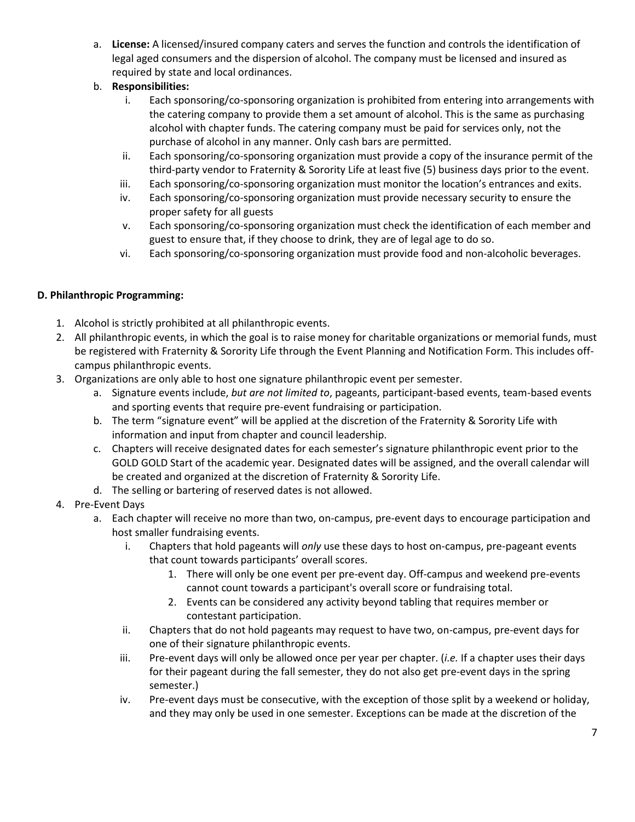- a. **License:** A licensed/insured company caters and serves the function and controls the identification of legal aged consumers and the dispersion of alcohol. The company must be licensed and insured as required by state and local ordinances.
- b. **Responsibilities:**
	- i. Each sponsoring/co-sponsoring organization is prohibited from entering into arrangements with the catering company to provide them a set amount of alcohol. This is the same as purchasing alcohol with chapter funds. The catering company must be paid for services only, not the purchase of alcohol in any manner. Only cash bars are permitted.
	- ii. Each sponsoring/co-sponsoring organization must provide a copy of the insurance permit of the third-party vendor to Fraternity & Sorority Life at least five (5) business days prior to the event.
	- iii. Each sponsoring/co-sponsoring organization must monitor the location's entrances and exits.
	- iv. Each sponsoring/co-sponsoring organization must provide necessary security to ensure the proper safety for all guests
	- v. Each sponsoring/co-sponsoring organization must check the identification of each member and guest to ensure that, if they choose to drink, they are of legal age to do so.
	- vi. Each sponsoring/co-sponsoring organization must provide food and non-alcoholic beverages.

#### **D. Philanthropic Programming:**

- 1. Alcohol is strictly prohibited at all philanthropic events.
- 2. All philanthropic events, in which the goal is to raise money for charitable organizations or memorial funds, must be registered with Fraternity & Sorority Life through the Event Planning and Notification Form. This includes offcampus philanthropic events.
- 3. Organizations are only able to host one signature philanthropic event per semester.
	- a. Signature events include, *but are not limited to*, pageants, participant-based events, team-based events and sporting events that require pre-event fundraising or participation.
	- b. The term "signature event" will be applied at the discretion of the Fraternity & Sorority Life with information and input from chapter and council leadership.
	- c. Chapters will receive designated dates for each semester's signature philanthropic event prior to the GOLD GOLD Start of the academic year. Designated dates will be assigned, and the overall calendar will be created and organized at the discretion of Fraternity & Sorority Life.
	- d. The selling or bartering of reserved dates is not allowed.

#### 4. Pre-Event Days

- a. Each chapter will receive no more than two, on-campus, pre-event days to encourage participation and host smaller fundraising events.
	- i. Chapters that hold pageants will *only* use these days to host on-campus, pre-pageant events that count towards participants' overall scores.
		- 1. There will only be one event per pre-event day. Off-campus and weekend pre-events cannot count towards a participant's overall score or fundraising total.
		- 2. Events can be considered any activity beyond tabling that requires member or contestant participation.
	- ii. Chapters that do not hold pageants may request to have two, on-campus, pre-event days for one of their signature philanthropic events.
	- iii. Pre-event days will only be allowed once per year per chapter. (*i.e.* If a chapter uses their days for their pageant during the fall semester, they do not also get pre-event days in the spring semester.)
	- iv. Pre-event days must be consecutive, with the exception of those split by a weekend or holiday, and they may only be used in one semester. Exceptions can be made at the discretion of the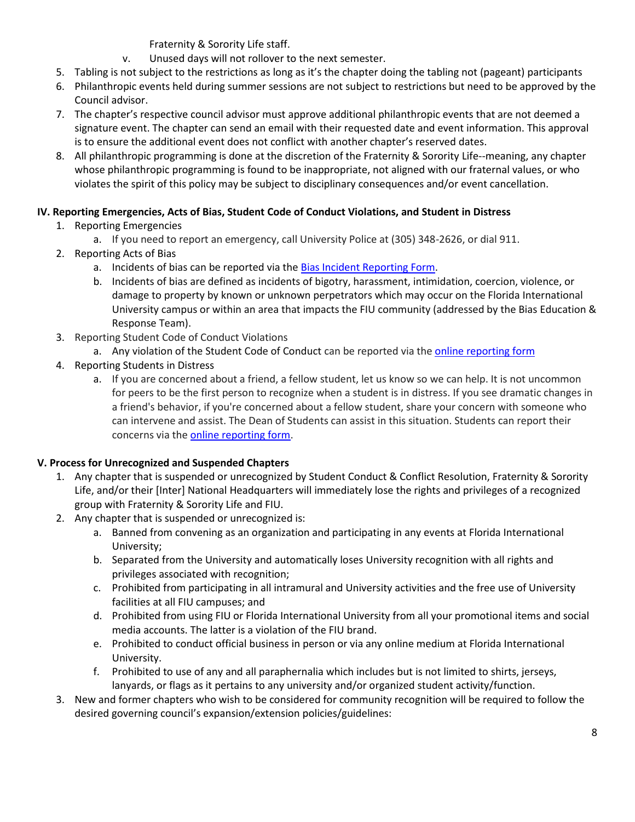Fraternity & Sorority Life staff.

- v. Unused days will not rollover to the next semester.
- 5. Tabling is not subject to the restrictions as long as it's the chapter doing the tabling not (pageant) participants
- 6. Philanthropic events held during summer sessions are not subject to restrictions but need to be approved by the Council advisor.
- 7. The chapter's respective council advisor must approve additional philanthropic events that are not deemed a signature event. The chapter can send an email with their requested date and event information. This approval is to ensure the additional event does not conflict with another chapter's reserved dates.
- 8. All philanthropic programming is done at the discretion of the Fraternity & Sorority Life--meaning, any chapter whose philanthropic programming is found to be inappropriate, not aligned with our fraternal values, or who violates the spirit of this policy may be subject to disciplinary consequences and/or event cancellation.

### **IV. Reporting Emergencies, Acts of Bias, Student Code of Conduct Violations, and Student in Distress**

- 1. Reporting Emergencies
	- a. If you need to report an emergency, call University Police at (305) 348-2626, or dial 911.
- 2. Reporting Acts of Bias
	- a. Incidents of bias can be reported via the [Bias Incident Reporting Form.](file:///C:/Users/adesanti/AppData/Local/Packages/Microsoft.MicrosoftEdge_8wekyb3d8bbwe/TempState/Downloads/stopbias.fiu.edu)
	- b. Incidents of bias are defined as incidents of bigotry, harassment, intimidation, coercion, violence, or damage to property by known or unknown perpetrators which may occur on the Florida International University campus or within an area that impacts the FIU community (addressed by the Bias Education & Response Team).
- 3. Reporting Student Code of Conduct Violations
	- a. Any violation of the Student Code of Conduct can be reported via the [online reporting form](https://cm.maxient.com/reportingform.php?FloridaIntlUniv)
- 4. Reporting Students in Distress
	- a. If you are concerned about a friend, a fellow student, let us know so we can help. It is not uncommon for peers to be the first person to recognize when a student is in distress. If you see dramatic changes in a friend's behavior, if you're concerned about a fellow student, share your concern with someone who can intervene and assist. The Dean of Students can assist in this situation. Students can report their concerns via th[e online reporting form.](https://cm.maxient.com/reportingform.php?FloridaIntlUniv)

### **V. Process for Unrecognized and Suspended Chapters**

- 1. Any chapter that is suspended or unrecognized by Student Conduct & Conflict Resolution, Fraternity & Sorority Life, and/or their [Inter] National Headquarters will immediately lose the rights and privileges of a recognized group with Fraternity & Sorority Life and FIU.
- 2. Any chapter that is suspended or unrecognized is:
	- a. Banned from convening as an organization and participating in any events at Florida International University;
	- b. Separated from the University and automatically loses University recognition with all rights and privileges associated with recognition;
	- c. Prohibited from participating in all intramural and University activities and the free use of University facilities at all FIU campuses; and
	- d. Prohibited from using FIU or Florida International University from all your promotional items and social media accounts. The latter is a violation of the FIU brand.
	- e. Prohibited to conduct official business in person or via any online medium at Florida International University.
	- f. Prohibited to use of any and all paraphernalia which includes but is not limited to shirts, jerseys, lanyards, or flags as it pertains to any university and/or organized student activity/function.
- 3. New and former chapters who wish to be considered for community recognition will be required to follow the desired governing council's expansion/extension policies/guidelines: